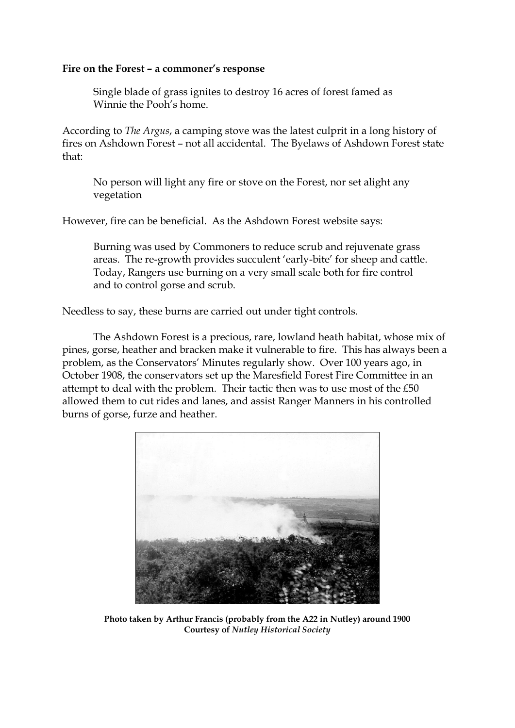## **Fire on the Forest – a commoner's response**

Single blade of grass ignites to destroy 16 acres of forest famed as Winnie the Pooh's home.

According to *The Argus*, a camping stove was the latest culprit in a long history of fires on Ashdown Forest – not all accidental. The Byelaws of Ashdown Forest state that:

No person will light any fire or stove on the Forest, nor set alight any vegetation

However, fire can be beneficial. As the Ashdown Forest website says:

Burning was used by Commoners to reduce scrub and rejuvenate grass areas. The re-growth provides succulent 'early-bite' for sheep and cattle. Today, Rangers use burning on a very small scale both for fire control and to control gorse and scrub.

Needless to say, these burns are carried out under tight controls.

The Ashdown Forest is a precious, rare, lowland heath habitat, whose mix of pines, gorse, heather and bracken make it vulnerable to fire. This has always been a problem, as the Conservators' Minutes regularly show. Over 100 years ago, in October 1908, the conservators set up the Maresfield Forest Fire Committee in an attempt to deal with the problem. Their tactic then was to use most of the £50 allowed them to cut rides and lanes, and assist Ranger Manners in his controlled burns of gorse, furze and heather.



**Photo taken by Arthur Francis (probably from the A22 in Nutley) around 1900 Courtesy of** *Nutley Historical Society*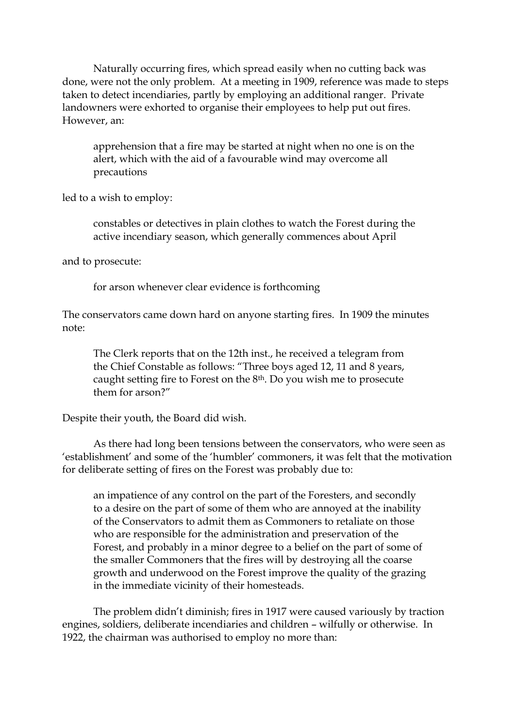Naturally occurring fires, which spread easily when no cutting back was done, were not the only problem. At a meeting in 1909, reference was made to steps taken to detect incendiaries, partly by employing an additional ranger. Private landowners were exhorted to organise their employees to help put out fires. However, an:

apprehension that a fire may be started at night when no one is on the alert, which with the aid of a favourable wind may overcome all precautions

led to a wish to employ:

constables or detectives in plain clothes to watch the Forest during the active incendiary season, which generally commences about April

and to prosecute:

for arson whenever clear evidence is forthcoming

The conservators came down hard on anyone starting fires. In 1909 the minutes note:

The Clerk reports that on the 12th inst., he received a telegram from the Chief Constable as follows: "Three boys aged 12, 11 and 8 years, caught setting fire to Forest on the 8th. Do you wish me to prosecute them for arson?"

Despite their youth, the Board did wish.

As there had long been tensions between the conservators, who were seen as 'establishment' and some of the 'humbler' commoners, it was felt that the motivation for deliberate setting of fires on the Forest was probably due to:

an impatience of any control on the part of the Foresters, and secondly to a desire on the part of some of them who are annoyed at the inability of the Conservators to admit them as Commoners to retaliate on those who are responsible for the administration and preservation of the Forest, and probably in a minor degree to a belief on the part of some of the smaller Commoners that the fires will by destroying all the coarse growth and underwood on the Forest improve the quality of the grazing in the immediate vicinity of their homesteads.

The problem didn't diminish; fires in 1917 were caused variously by traction engines, soldiers, deliberate incendiaries and children – wilfully or otherwise. In 1922, the chairman was authorised to employ no more than: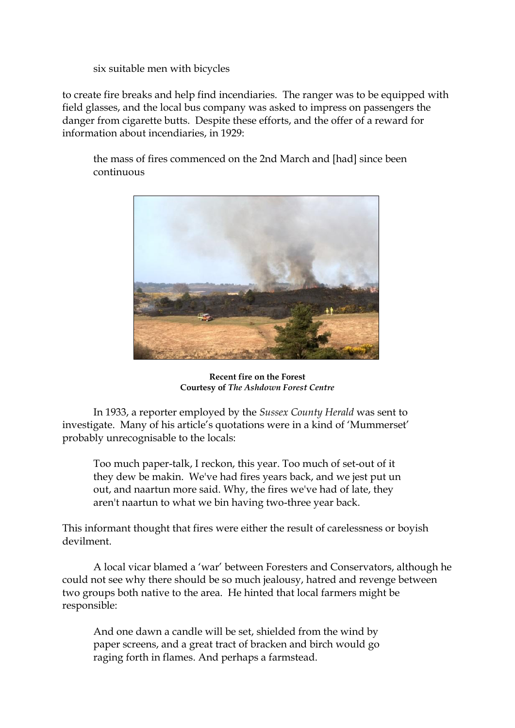six suitable men with bicycles

to create fire breaks and help find incendiaries. The ranger was to be equipped with field glasses, and the local bus company was asked to impress on passengers the danger from cigarette butts. Despite these efforts, and the offer of a reward for information about incendiaries, in 1929:

the mass of fires commenced on the 2nd March and [had] since been continuous



**Recent fire on the Forest Courtesy of** *The Ashdown Forest Centre*

In 1933, a reporter employed by the *Sussex County Herald* was sent to investigate. Many of his article's quotations were in a kind of 'Mummerset' probably unrecognisable to the locals:

Too much paper-talk, I reckon, this year. Too much of set-out of it they dew be makin. We've had fires years back, and we jest put un out, and naartun more said. Why, the fires we've had of late, they aren't naartun to what we bin having two-three year back.

This informant thought that fires were either the result of carelessness or boyish devilment.

A local vicar blamed a 'war' between Foresters and Conservators, although he could not see why there should be so much jealousy, hatred and revenge between two groups both native to the area. He hinted that local farmers might be responsible:

And one dawn a candle will be set, shielded from the wind by paper screens, and a great tract of bracken and birch would go raging forth in flames. And perhaps a farmstead.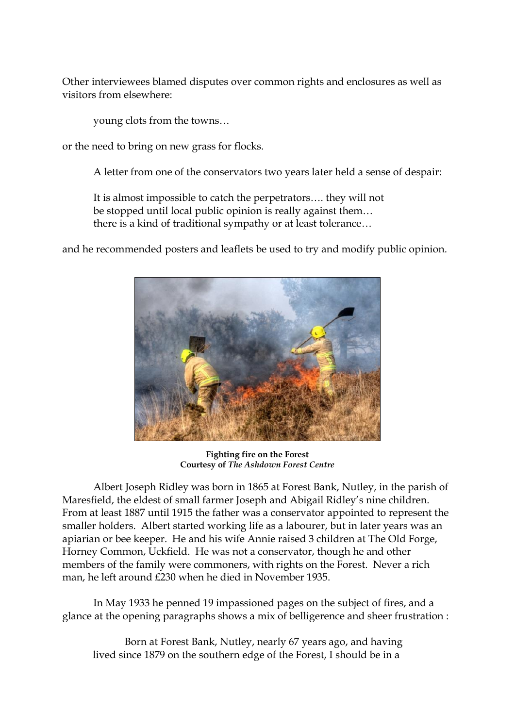Other interviewees blamed disputes over common rights and enclosures as well as visitors from elsewhere:

young clots from the towns…

or the need to bring on new grass for flocks.

A letter from one of the conservators two years later held a sense of despair:

It is almost impossible to catch the perpetrators…. they will not be stopped until local public opinion is really against them… there is a kind of traditional sympathy or at least tolerance…

and he recommended posters and leaflets be used to try and modify public opinion.



**Fighting fire on the Forest Courtesy of** *The Ashdown Forest Centre*

Albert Joseph Ridley was born in 1865 at Forest Bank, Nutley, in the parish of Maresfield, the eldest of small farmer Joseph and Abigail Ridley's nine children. From at least 1887 until 1915 the father was a conservator appointed to represent the smaller holders. Albert started working life as a labourer, but in later years was an apiarian or bee keeper. He and his wife Annie raised 3 children at The Old Forge, Horney Common, Uckfield. He was not a conservator, though he and other members of the family were commoners, with rights on the Forest. Never a rich man, he left around £230 when he died in November 1935.

In May 1933 he penned 19 impassioned pages on the subject of fires, and a glance at the opening paragraphs shows a mix of belligerence and sheer frustration :

Born at Forest Bank, Nutley, nearly 67 years ago, and having lived since 1879 on the southern edge of the Forest, I should be in a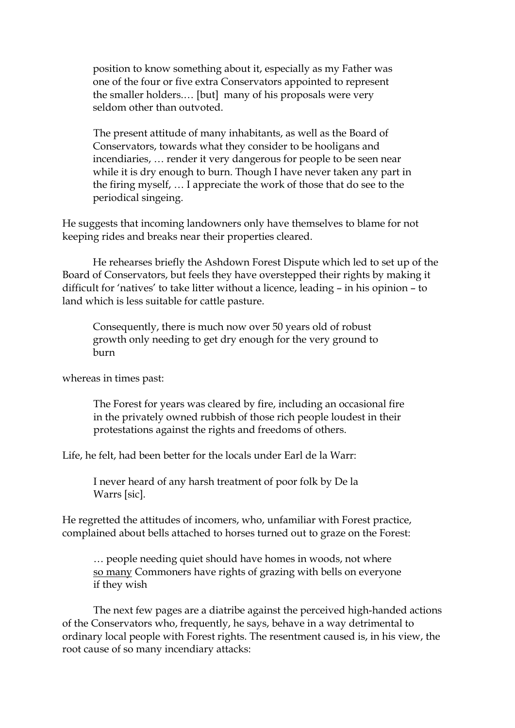position to know something about it, especially as my Father was one of the four or five extra Conservators appointed to represent the smaller holders.… [but] many of his proposals were very seldom other than outvoted.

The present attitude of many inhabitants, as well as the Board of Conservators, towards what they consider to be hooligans and incendiaries, … render it very dangerous for people to be seen near while it is dry enough to burn. Though I have never taken any part in the firing myself, … I appreciate the work of those that do see to the periodical singeing.

He suggests that incoming landowners only have themselves to blame for not keeping rides and breaks near their properties cleared.

He rehearses briefly the Ashdown Forest Dispute which led to set up of the Board of Conservators, but feels they have overstepped their rights by making it difficult for 'natives' to take litter without a licence, leading – in his opinion – to land which is less suitable for cattle pasture.

Consequently, there is much now over 50 years old of robust growth only needing to get dry enough for the very ground to burn

whereas in times past:

The Forest for years was cleared by fire, including an occasional fire in the privately owned rubbish of those rich people loudest in their protestations against the rights and freedoms of others.

Life, he felt, had been better for the locals under Earl de la Warr:

I never heard of any harsh treatment of poor folk by De la Warrs [sic].

He regretted the attitudes of incomers, who, unfamiliar with Forest practice, complained about bells attached to horses turned out to graze on the Forest:

… people needing quiet should have homes in woods, not where so many Commoners have rights of grazing with bells on everyone if they wish

The next few pages are a diatribe against the perceived high-handed actions of the Conservators who, frequently, he says, behave in a way detrimental to ordinary local people with Forest rights. The resentment caused is, in his view, the root cause of so many incendiary attacks: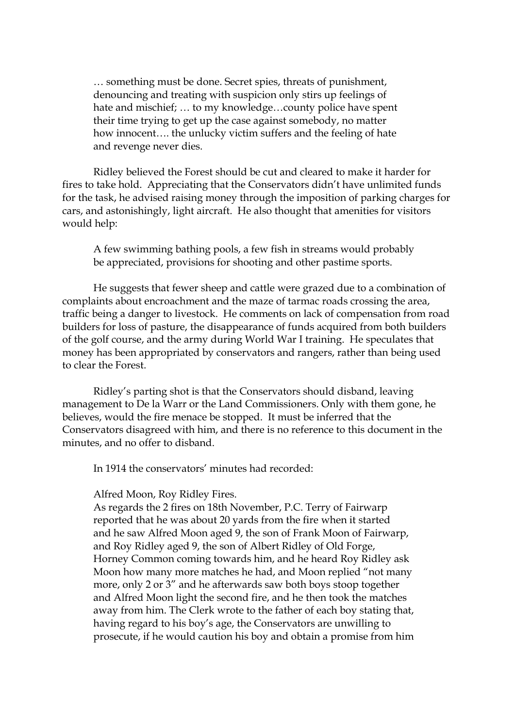… something must be done. Secret spies, threats of punishment, denouncing and treating with suspicion only stirs up feelings of hate and mischief; … to my knowledge…county police have spent their time trying to get up the case against somebody, no matter how innocent…. the unlucky victim suffers and the feeling of hate and revenge never dies.

Ridley believed the Forest should be cut and cleared to make it harder for fires to take hold. Appreciating that the Conservators didn't have unlimited funds for the task, he advised raising money through the imposition of parking charges for cars, and astonishingly, light aircraft. He also thought that amenities for visitors would help:

A few swimming bathing pools, a few fish in streams would probably be appreciated, provisions for shooting and other pastime sports.

He suggests that fewer sheep and cattle were grazed due to a combination of complaints about encroachment and the maze of tarmac roads crossing the area, traffic being a danger to livestock. He comments on lack of compensation from road builders for loss of pasture, the disappearance of funds acquired from both builders of the golf course, and the army during World War I training. He speculates that money has been appropriated by conservators and rangers, rather than being used to clear the Forest.

Ridley's parting shot is that the Conservators should disband, leaving management to De la Warr or the Land Commissioners. Only with them gone, he believes, would the fire menace be stopped. It must be inferred that the Conservators disagreed with him, and there is no reference to this document in the minutes, and no offer to disband.

In 1914 the conservators' minutes had recorded:

Alfred Moon, Roy Ridley Fires.

As regards the 2 fires on 18th November, P.C. Terry of Fairwarp reported that he was about 20 yards from the fire when it started and he saw Alfred Moon aged 9, the son of Frank Moon of Fairwarp, and Roy Ridley aged 9, the son of Albert Ridley of Old Forge, Horney Common coming towards him, and he heard Roy Ridley ask Moon how many more matches he had, and Moon replied "not many more, only 2 or 3" and he afterwards saw both boys stoop together and Alfred Moon light the second fire, and he then took the matches away from him. The Clerk wrote to the father of each boy stating that, having regard to his boy's age, the Conservators are unwilling to prosecute, if he would caution his boy and obtain a promise from him